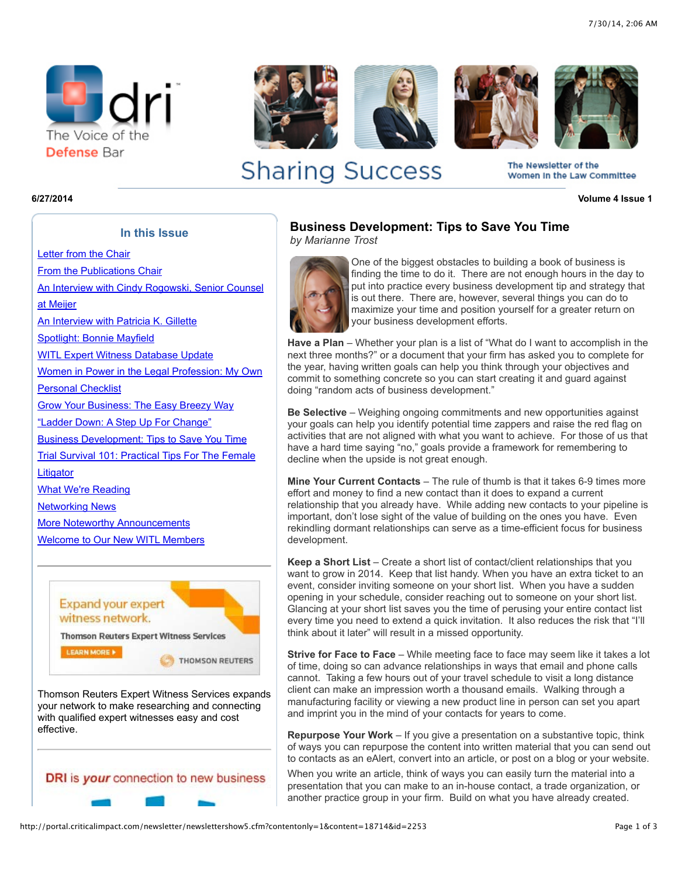



**Sharing Success** 







The Newsletter of the Women In the Law Committee

**6/27/2014 Volume 4 Issue 1**

at Meijer

**In this Issue** [Letter from the Chair](http://portal.criticalimpact.com/newsletter/newslettershow5.cfm?contentonly=1&content=18706&id=2253) [From the Publications Chair](http://portal.criticalimpact.com/newsletter/newslettershow5.cfm?contentonly=1&content=18705&id=2253) [An Interview with Cindy Rogowski, Senior Counsel](http://portal.criticalimpact.com/newsletter/newslettershow5.cfm?contentonly=1&content=18707&id=2253) [An Interview with Patricia K. Gillette](http://portal.criticalimpact.com/newsletter/newslettershow5.cfm?contentonly=1&content=18708&id=2253) [Spotlight: Bonnie Mayfield](http://portal.criticalimpact.com/newsletter/newslettershow5.cfm?contentonly=1&content=18709&id=2253) [WITL Expert Witness Database Update](http://portal.criticalimpact.com/newsletter/newslettershow5.cfm?contentonly=1&content=18710&id=2253) [Women in Power in the Legal Profession: My Own](http://portal.criticalimpact.com/newsletter/newslettershow5.cfm?contentonly=1&content=18711&id=2253) Personal Checklist [Grow Your Business: The Easy Breezy Way](http://portal.criticalimpact.com/newsletter/newslettershow5.cfm?contentonly=1&content=18712&id=2253) ["Ladder Down: A Step Up For Change"](http://portal.criticalimpact.com/newsletter/newslettershow5.cfm?contentonly=1&content=18713&id=2253) [Business Development: Tips to Save You Time](http://portal.criticalimpact.com/newsletter/newslettershow5.cfm?contentonly=1&content=18714&id=2253) [Trial Survival 101: Practical Tips For The Female](http://portal.criticalimpact.com/newsletter/newslettershow5.cfm?contentonly=1&content=18715&id=2253)

[What We're Reading](http://portal.criticalimpact.com/newsletter/newslettershow5.cfm?contentonly=1&content=18716&id=2253)

**Litigator** 

[Networking News](http://portal.criticalimpact.com/newsletter/newslettershow5.cfm?contentonly=1&content=18717&id=2253)

[More Noteworthy Announcements](http://portal.criticalimpact.com/newsletter/newslettershow5.cfm?contentonly=1&content=18718&id=2253)

[Welcome to Our New WITL Members](http://portal.criticalimpact.com/newsletter/newslettershow5.cfm?contentonly=1&content=18719&id=2253)



DRI is your connection to new business

# **Business Development: Tips to Save You Time** *by Marianne Trost*



One of the biggest obstacles to building a book of business is finding the time to do it. There are not enough hours in the day to put into practice every business development tip and strategy that is out there. There are, however, several things you can do to maximize your time and position yourself for a greater return on your business development efforts.

**Have a Plan** – Whether your plan is a list of "What do I want to accomplish in the next three months?" or a document that your firm has asked you to complete for the year, having written goals can help you think through your objectives and commit to something concrete so you can start creating it and guard against doing "random acts of business development."

**Be Selective** – Weighing ongoing commitments and new opportunities against your goals can help you identify potential time zappers and raise the red flag on activities that are not aligned with what you want to achieve. For those of us that have a hard time saying "no," goals provide a framework for remembering to decline when the upside is not great enough.

**Mine Your Current Contacts** – The rule of thumb is that it takes 6-9 times more effort and money to find a new contact than it does to expand a current relationship that you already have. While adding new contacts to your pipeline is important, don't lose sight of the value of building on the ones you have. Even rekindling dormant relationships can serve as a time-efficient focus for business development.

**Keep a Short List** – Create a short list of contact/client relationships that you want to grow in 2014. Keep that list handy. When you have an extra ticket to an event, consider inviting someone on your short list. When you have a sudden opening in your schedule, consider reaching out to someone on your short list. Glancing at your short list saves you the time of perusing your entire contact list every time you need to extend a quick invitation. It also reduces the risk that "I'll think about it later" will result in a missed opportunity.

**Strive for Face to Face** – While meeting face to face may seem like it takes a lot of time, doing so can advance relationships in ways that email and phone calls cannot. Taking a few hours out of your travel schedule to visit a long distance client can make an impression worth a thousand emails. Walking through a manufacturing facility or viewing a new product line in person can set you apart and imprint you in the mind of your contacts for years to come.

**Repurpose Your Work** – If you give a presentation on a substantive topic, think of ways you can repurpose the content into written material that you can send out to contacts as an eAlert, convert into an article, or post on a blog or your website.

When you write an article, think of ways you can easily turn the material into a presentation that you can make to an in-house contact, a trade organization, or another practice group in your firm. Build on what you have already created.